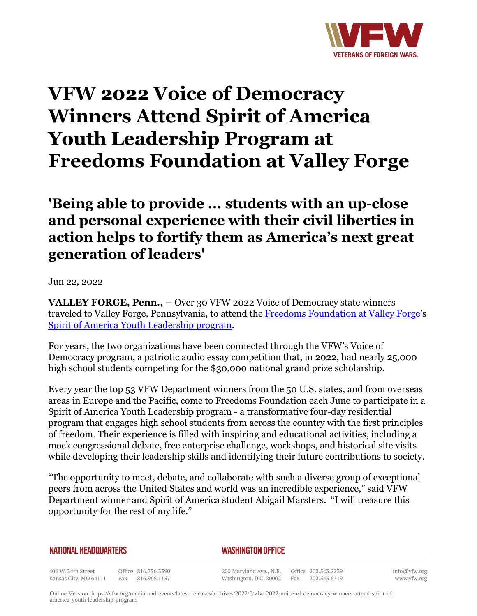

# **VFW 2022 Voice of Democracy Winners Attend Spirit of America Youth Leadership Program at Freedoms Foundation at Valley Forge**

# **'Being able to provide ... students with an up-close and personal experience with their civil liberties in action helps to fortify them as America's next great generation of leaders'**

Jun 22, 2022

**VALLEY FORGE, Penn., –** Over 30 VFW 2022 Voice of Democracy state winners traveled to Valley Forge, Pennsylvania, to attend the [Freedoms Foundation at Valley Forge'](http:http://www.freedomsfoundation.org/)s [Spirit of America Youth Leadership program.](https:http://www.freedomsfoundation.org/students/high-school/spirit-of-america/)

For years, the two organizations have been connected through the VFW's Voice of Democracy program, a patriotic audio essay competition that, in 2022, had nearly 25,000 high school students competing for the \$30,000 national grand prize scholarship.

Every year the top 53 VFW Department winners from the 50 U.S. states, and from overseas areas in Europe and the Pacific, come to Freedoms Foundation each June to participate in a Spirit of America Youth Leadership program - a transformative four-day residential program that engages high school students from across the country with the first principles of freedom. Their experience is filled with inspiring and educational activities, including a mock congressional debate, free enterprise challenge, workshops, and historical site visits while developing their leadership skills and identifying their future contributions to society.

"The opportunity to meet, debate, and collaborate with such a diverse group of exceptional peers from across the United States and world was an incredible experience," said VFW Department winner and Spirit of America student Abigail Marsters. "I will treasure this opportunity for the rest of my life."

## **NATIONAL HEADQUARTERS**

## *WASHINGTON OFFICE*

406 W. 34th Street Office 816.756.3390 Kansas City, MO 64111 Fax 816.968.1157

200 Maryland Ave., N.E. Washington, D.C. 20002

Office 202.543.2239 Fax 202.543.6719

info@vfw.org www.vfw.org

Online Version: [https://vfw.org/media-and-events/latest-releases/archives/2022/6/vfw-2022-voice-of-democracy-winners-attend-spirit-of](https://vfw.org/media-and-events/latest-releases/archives/2022/6/vfw-2022-voice-of-democracy-winners-attend-spirit-of-america-youth-leadership-program)[america-youth-leadership-program](https://vfw.org/media-and-events/latest-releases/archives/2022/6/vfw-2022-voice-of-democracy-winners-attend-spirit-of-america-youth-leadership-program)